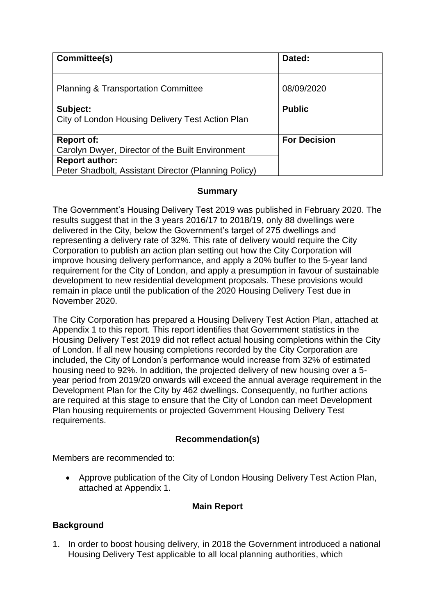| Committee(s)                                                                  | Dated:              |
|-------------------------------------------------------------------------------|---------------------|
| <b>Planning &amp; Transportation Committee</b>                                | 08/09/2020          |
| Subject:<br>City of London Housing Delivery Test Action Plan                  | <b>Public</b>       |
| <b>Report of:</b><br>Carolyn Dwyer, Director of the Built Environment         | <b>For Decision</b> |
| <b>Report author:</b><br>Peter Shadbolt, Assistant Director (Planning Policy) |                     |

### **Summary**

The Government's Housing Delivery Test 2019 was published in February 2020. The results suggest that in the 3 years 2016/17 to 2018/19, only 88 dwellings were delivered in the City, below the Government's target of 275 dwellings and representing a delivery rate of 32%. This rate of delivery would require the City Corporation to publish an action plan setting out how the City Corporation will improve housing delivery performance, and apply a 20% buffer to the 5-year land requirement for the City of London, and apply a presumption in favour of sustainable development to new residential development proposals. These provisions would remain in place until the publication of the 2020 Housing Delivery Test due in November 2020.

The City Corporation has prepared a Housing Delivery Test Action Plan, attached at Appendix 1 to this report. This report identifies that Government statistics in the Housing Delivery Test 2019 did not reflect actual housing completions within the City of London. If all new housing completions recorded by the City Corporation are included, the City of London's performance would increase from 32% of estimated housing need to 92%. In addition, the projected delivery of new housing over a 5 year period from 2019/20 onwards will exceed the annual average requirement in the Development Plan for the City by 462 dwellings. Consequently, no further actions are required at this stage to ensure that the City of London can meet Development Plan housing requirements or projected Government Housing Delivery Test requirements.

# **Recommendation(s)**

Members are recommended to:

• Approve publication of the City of London Housing Delivery Test Action Plan, attached at Appendix 1.

# **Main Report**

# **Background**

1. In order to boost housing delivery, in 2018 the Government introduced a national Housing Delivery Test applicable to all local planning authorities, which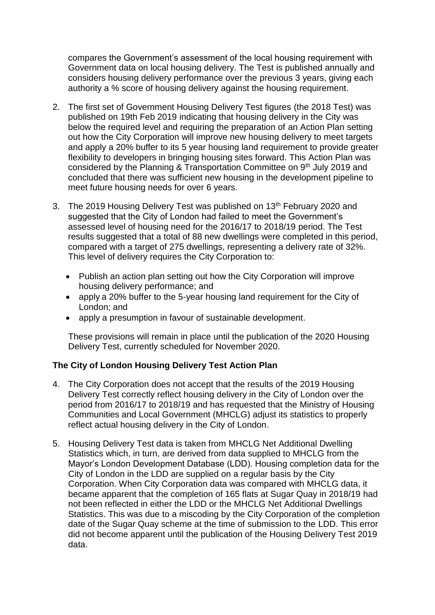compares the Government's assessment of the local housing requirement with Government data on local housing delivery. The Test is published annually and considers housing delivery performance over the previous 3 years, giving each authority a % score of housing delivery against the housing requirement.

- 2. The first set of Government Housing Delivery Test figures (the 2018 Test) was published on 19th Feb 2019 indicating that housing delivery in the City was below the required level and requiring the preparation of an Action Plan setting out how the City Corporation will improve new housing delivery to meet targets and apply a 20% buffer to its 5 year housing land requirement to provide greater flexibility to developers in bringing housing sites forward. This Action Plan was considered by the Planning & Transportation Committee on 9th July 2019 and concluded that there was sufficient new housing in the development pipeline to meet future housing needs for over 6 years.
- 3. The 2019 Housing Delivery Test was published on 13<sup>th</sup> February 2020 and suggested that the City of London had failed to meet the Government's assessed level of housing need for the 2016/17 to 2018/19 period. The Test results suggested that a total of 88 new dwellings were completed in this period, compared with a target of 275 dwellings, representing a delivery rate of 32%. This level of delivery requires the City Corporation to:
	- Publish an action plan setting out how the City Corporation will improve housing delivery performance; and
	- apply a 20% buffer to the 5-year housing land requirement for the City of London; and
	- apply a presumption in favour of sustainable development.

These provisions will remain in place until the publication of the 2020 Housing Delivery Test, currently scheduled for November 2020.

# **The City of London Housing Delivery Test Action Plan**

- 4. The City Corporation does not accept that the results of the 2019 Housing Delivery Test correctly reflect housing delivery in the City of London over the period from 2016/17 to 2018/19 and has requested that the Ministry of Housing Communities and Local Government (MHCLG) adjust its statistics to properly reflect actual housing delivery in the City of London.
- 5. Housing Delivery Test data is taken from MHCLG Net Additional Dwelling Statistics which, in turn, are derived from data supplied to MHCLG from the Mayor's London Development Database (LDD). Housing completion data for the City of London in the LDD are supplied on a regular basis by the City Corporation. When City Corporation data was compared with MHCLG data, it became apparent that the completion of 165 flats at Sugar Quay in 2018/19 had not been reflected in either the LDD or the MHCLG Net Additional Dwellings Statistics. This was due to a miscoding by the City Corporation of the completion date of the Sugar Quay scheme at the time of submission to the LDD. This error did not become apparent until the publication of the Housing Delivery Test 2019 data.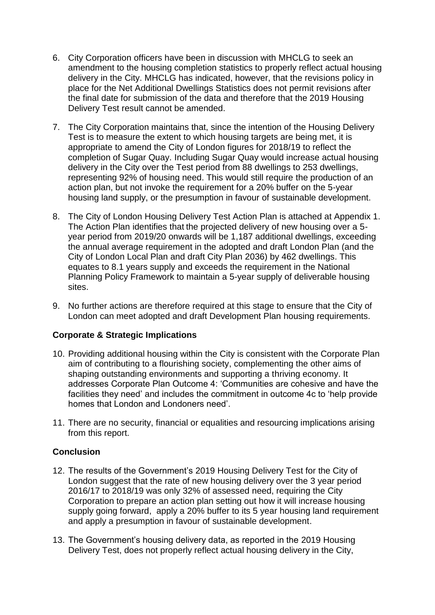- 6. City Corporation officers have been in discussion with MHCLG to seek an amendment to the housing completion statistics to properly reflect actual housing delivery in the City. MHCLG has indicated, however, that the revisions policy in place for the Net Additional Dwellings Statistics does not permit revisions after the final date for submission of the data and therefore that the 2019 Housing Delivery Test result cannot be amended.
- 7. The City Corporation maintains that, since the intention of the Housing Delivery Test is to measure the extent to which housing targets are being met, it is appropriate to amend the City of London figures for 2018/19 to reflect the completion of Sugar Quay. Including Sugar Quay would increase actual housing delivery in the City over the Test period from 88 dwellings to 253 dwellings, representing 92% of housing need. This would still require the production of an action plan, but not invoke the requirement for a 20% buffer on the 5-year housing land supply, or the presumption in favour of sustainable development.
- 8. The City of London Housing Delivery Test Action Plan is attached at Appendix 1. The Action Plan identifies that the projected delivery of new housing over a 5 year period from 2019/20 onwards will be 1,187 additional dwellings, exceeding the annual average requirement in the adopted and draft London Plan (and the City of London Local Plan and draft City Plan 2036) by 462 dwellings. This equates to 8.1 years supply and exceeds the requirement in the National Planning Policy Framework to maintain a 5-year supply of deliverable housing sites.
- 9. No further actions are therefore required at this stage to ensure that the City of London can meet adopted and draft Development Plan housing requirements.

# **Corporate & Strategic Implications**

- 10. Providing additional housing within the City is consistent with the Corporate Plan aim of contributing to a flourishing society, complementing the other aims of shaping outstanding environments and supporting a thriving economy. It addresses Corporate Plan Outcome 4: 'Communities are cohesive and have the facilities they need' and includes the commitment in outcome 4c to 'help provide homes that London and Londoners need'.
- 11. There are no security, financial or equalities and resourcing implications arising from this report.

### **Conclusion**

- 12. The results of the Government's 2019 Housing Delivery Test for the City of London suggest that the rate of new housing delivery over the 3 year period 2016/17 to 2018/19 was only 32% of assessed need, requiring the City Corporation to prepare an action plan setting out how it will increase housing supply going forward, apply a 20% buffer to its 5 year housing land requirement and apply a presumption in favour of sustainable development.
- 13. The Government's housing delivery data, as reported in the 2019 Housing Delivery Test, does not properly reflect actual housing delivery in the City,